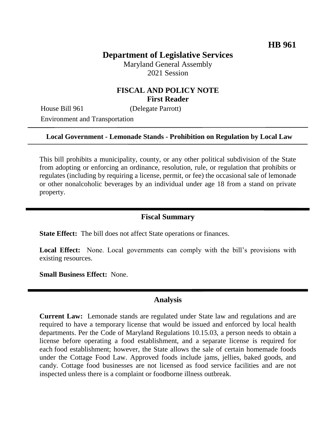# **Department of Legislative Services**

Maryland General Assembly 2021 Session

## **FISCAL AND POLICY NOTE First Reader**

House Bill 961 (Delegate Parrott)

Environment and Transportation

### **Local Government - Lemonade Stands - Prohibition on Regulation by Local Law**

This bill prohibits a municipality, county, or any other political subdivision of the State from adopting or enforcing an ordinance, resolution, rule, or regulation that prohibits or regulates (including by requiring a license, permit, or fee) the occasional sale of lemonade or other nonalcoholic beverages by an individual under age 18 from a stand on private property.

### **Fiscal Summary**

**State Effect:** The bill does not affect State operations or finances.

Local Effect: None. Local governments can comply with the bill's provisions with existing resources.

**Small Business Effect:** None.

### **Analysis**

**Current Law:** Lemonade stands are regulated under State law and regulations and are required to have a temporary license that would be issued and enforced by local health departments. Per the Code of Maryland Regulations 10.15.03, a person needs to obtain a license before operating a food establishment, and a separate license is required for each food establishment; however, the State allows the sale of certain homemade foods under the Cottage Food Law. Approved foods include jams, jellies, baked goods, and candy. Cottage food businesses are not licensed as food service facilities and are not inspected unless there is a complaint or foodborne illness outbreak.